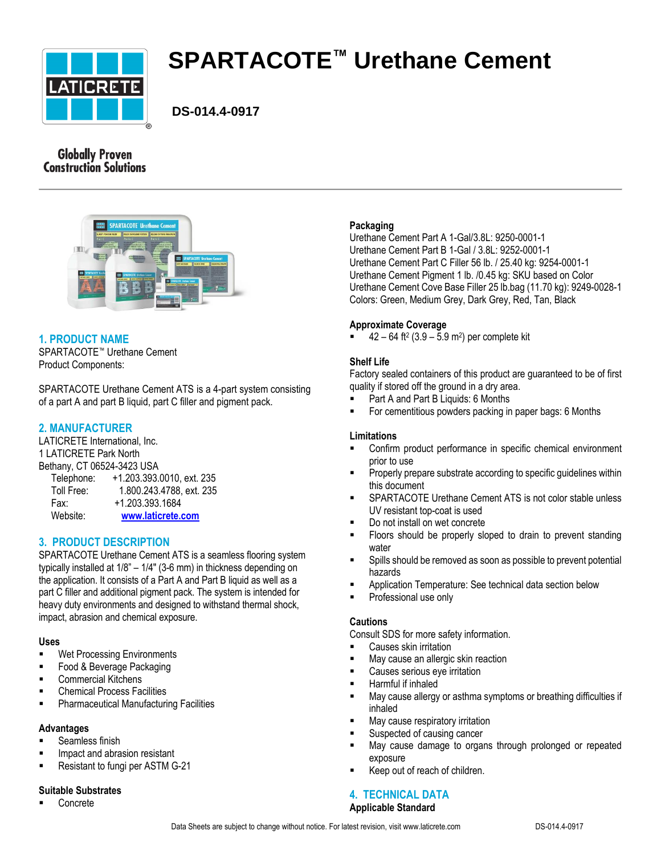

# **SPARTACOTE™ Urethane Cement**

 **DS-014.4-0917**

# **Globally Proven Construction Solutions**



# **1. PRODUCT NAME**

SPARTACOTE™ Urethane Cement Product Components:

SPARTACOTE Urethane Cement ATS is a 4-part system consisting of a part A and part B liquid, part C filler and pigment pack.

# **2. MANUFACTURER**

LATICRETE International, Inc. 1 LATICRETE Park North Bethany, CT 06524-3423 USA

| Telephone: | +1.203.393.0010, ext. 235 |
|------------|---------------------------|
| Toll Free: | 1.800.243.4788, ext. 235  |
| Fax:       | +1.203.393.1684           |
| Website:   | www.laticrete.com         |

# **3. PRODUCT DESCRIPTION**

SPARTACOTE Urethane Cement ATS is a seamless flooring system typically installed at 1/8" – 1/4" (3-6 mm) in thickness depending on the application. It consists of a Part A and Part B liquid as well as a part C filler and additional pigment pack. The system is intended for heavy duty environments and designed to withstand thermal shock, impact, abrasion and chemical exposure.

## **Uses**

- **Wet Processing Environments**
- Food & Beverage Packaging
- Commercial Kitchens
- **EXEC** Chemical Process Facilities
- **Pharmaceutical Manufacturing Facilities**

#### **Advantages**

- Seamless finish
- Impact and abrasion resistant
- Resistant to fungi per ASTM G-21

#### **Suitable Substrates**

Concrete

## **Packaging**

Urethane Cement Part A 1-Gal/3.8L: 9250-0001-1 Urethane Cement Part B 1-Gal / 3.8L: 9252-0001-1 Urethane Cement Part C Filler 56 lb. / 25.40 kg: 9254-0001-1 Urethane Cement Pigment 1 lb. /0.45 kg: SKU based on Color Urethane Cement Cove Base Filler 25 lb.bag (11.70 kg): 9249-0028-1 Colors: Green, Medium Grey, Dark Grey, Red, Tan, Black

#### **Approximate Coverage**

 $= 42 - 64$  ft<sup>2</sup> (3.9 – 5.9 m<sup>2</sup>) per complete kit

#### **Shelf Life**

Factory sealed containers of this product are guaranteed to be of first quality if stored off the ground in a dry area.

- Part A and Part B Liquids: 6 Months
- For cementitious powders packing in paper bags: 6 Months

#### **Limitations**

- Confirm product performance in specific chemical environment prior to use
- Properly prepare substrate according to specific guidelines within this document
- SPARTACOTE Urethane Cement ATS is not color stable unless UV resistant top-coat is used
- Do not install on wet concrete
- Floors should be properly sloped to drain to prevent standing water
- Spills should be removed as soon as possible to prevent potential hazards
- Application Temperature: See technical data section below
- Professional use only

#### **Cautions**

Consult SDS for more safety information.

- Causes skin irritation
- May cause an allergic skin reaction
- Causes serious eye irritation
- Harmful if inhaled
- **May cause allergy or asthma symptoms or breathing difficulties if** inhaled
- **May cause respiratory irritation**
- Suspected of causing cancer
- May cause damage to organs through prolonged or repeated exposure
- Keep out of reach of children.

#### **4. TECHNICAL DATA Applicable Standard**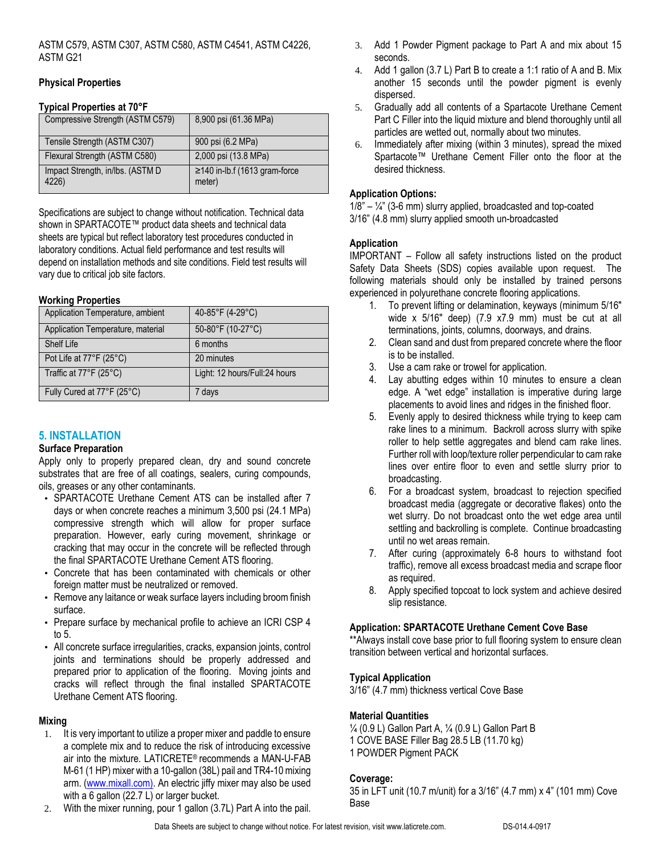ASTM C579, ASTM C307, ASTM C580, ASTM C4541, ASTM C4226, ASTM G21

#### **Physical Properties**

#### **Typical Properties at 70°F**

| Compressive Strength (ASTM C579)          | 8,900 psi (61.36 MPa)                        |
|-------------------------------------------|----------------------------------------------|
| Tensile Strength (ASTM C307)              | 900 psi (6.2 MPa)                            |
| Flexural Strength (ASTM C580)             | 2,000 psi (13.8 MPa)                         |
| Impact Strength, in/lbs. (ASTM D<br>4226) | $\ge$ 140 in-lb.f (1613 gram-force<br>meter) |

Specifications are subject to change without notification. Technical data shown in SPARTACOTE™ product data sheets and technical data sheets are typical but reflect laboratory test procedures conducted in laboratory conditions. Actual field performance and test results will depend on installation methods and site conditions. Field test results will vary due to critical job site factors.

#### **Working Properties**

| Application Temperature, ambient  | 40-85°F (4-29°C)              |
|-----------------------------------|-------------------------------|
| Application Temperature, material | 50-80°F (10-27°C)             |
| Shelf Life                        | 6 months                      |
| Pot Life at 77°F (25°C)           | 20 minutes                    |
| Traffic at 77°F (25°C)            | Light: 12 hours/Full:24 hours |
| Fully Cured at 77°F (25°C)        | 7 days                        |

# **5. INSTALLATION**

#### **Surface Preparation**

Apply only to properly prepared clean, dry and sound concrete substrates that are free of all coatings, sealers, curing compounds, oils, greases or any other contaminants.

- *•* SPARTACOTE Urethane Cement ATS can be installed after 7 days or when concrete reaches a minimum 3,500 psi (24.1 MPa) compressive strength which will allow for proper surface preparation. However, early curing movement, shrinkage or cracking that may occur in the concrete will be reflected through the final SPARTACOTE Urethane Cement ATS flooring.
- *•* Concrete that has been contaminated with chemicals or other foreign matter must be neutralized or removed.
- *•* Remove any laitance or weak surface layers including broom finish surface.
- *•* Prepare surface by mechanical profile to achieve an ICRI CSP 4 to 5.
- *•* All concrete surface irregularities, cracks, expansion joints, control joints and terminations should be properly addressed and prepared prior to application of the flooring. Moving joints and cracks will reflect through the final installed SPARTACOTE Urethane Cement ATS flooring.

#### **Mixing**

- 1. It is very important to utilize a proper mixer and paddle to ensure a complete mix and to reduce the risk of introducing excessive air into the mixture. LATICRETE® recommends a MAN-U-FAB M-61 (1 HP) mixer with a 10-gallon (38L) pail and TR4-10 mixing arm. [\(www.mixall.com\).](http://www.mixall.com)/) An electric jiffy mixer may also be used with a 6 gallon (22.7 L) or larger bucket.
- 2. With the mixer running, pour 1 gallon (3.7L) Part A into the pail.
- 3. Add 1 Powder Pigment package to Part A and mix about 15 seconds.
- 4. Add 1 gallon (3.7 L) Part B to create a 1:1 ratio of A and B. Mix another 15 seconds until the powder pigment is evenly dispersed.
- 5. Gradually add all contents of a Spartacote Urethane Cement Part C Filler into the liquid mixture and blend thoroughly until all particles are wetted out, normally about two minutes.
- 6. Immediately after mixing (within 3 minutes), spread the mixed Spartacote™ Urethane Cement Filler onto the floor at the desired thickness.

### **Application Options:**

 $1/8" - \frac{1}{4}"$  (3-6 mm) slurry applied, broadcasted and top-coated 3/16" (4.8 mm) slurry applied smooth un-broadcasted

#### **Application**

IMPORTANT – Follow all safety instructions listed on the product Safety Data Sheets (SDS) copies available upon request. The following materials should only be installed by trained persons experienced in polyurethane concrete flooring applications.

- 1. To prevent lifting or delamination, keyways (minimum 5/16" wide x 5/16" deep) (7.9 x7.9 mm) must be cut at all terminations, joints, columns, doorways, and drains.
- 2. Clean sand and dust from prepared concrete where the floor is to be installed.
- 3. Use a cam rake or trowel for application.
- 4. Lay abutting edges within 10 minutes to ensure a clean edge. A "wet edge" installation is imperative during large placements to avoid lines and ridges in the finished floor.
- 5. Evenly apply to desired thickness while trying to keep cam rake lines to a minimum. Backroll across slurry with spike roller to help settle aggregates and blend cam rake lines. Further roll with loop/texture roller perpendicular to cam rake lines over entire floor to even and settle slurry prior to broadcasting.
- 6. For a broadcast system, broadcast to rejection specified broadcast media (aggregate or decorative flakes) onto the wet slurry. Do not broadcast onto the wet edge area until settling and backrolling is complete. Continue broadcasting until no wet areas remain.
- 7. After curing (approximately 6-8 hours to withstand foot traffic), remove all excess broadcast media and scrape floor as required.
- 8. Apply specified topcoat to lock system and achieve desired slip resistance.

#### **Application: SPARTACOTE Urethane Cement Cove Base**

\*\*Always install cove base prior to full flooring system to ensure clean transition between vertical and horizontal surfaces.

#### **Typical Application**

3/16" (4.7 mm) thickness vertical Cove Base

#### **Material Quantities**

¼ (0.9 L) Gallon Part A, ¼ (0.9 L) Gallon Part B 1 COVE BASE Filler Bag 28.5 LB (11.70 kg) 1 POWDER Pigment PACK

#### **Coverage:**

35 in LFT unit (10.7 m/unit) for a 3/16" (4.7 mm) x 4" (101 mm) Cove Base